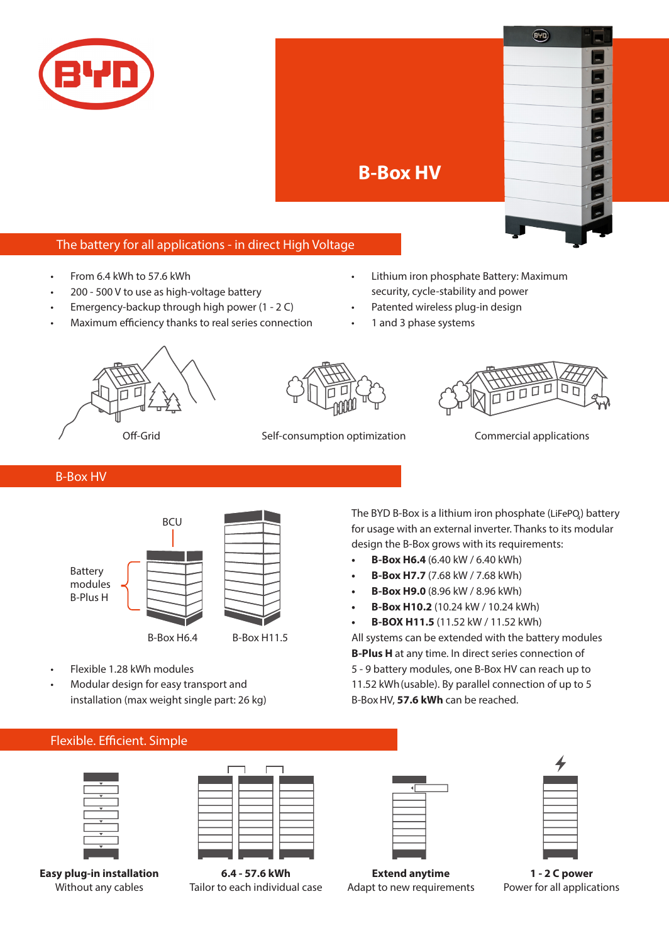



## The battery for all applications - in direct High Voltage

- From 6.4 kWh to 57.6 kWh
- 200 500 V to use as high-voltage battery
- Emergency-backup through high power  $(1 2 C)$
- Maximum efficiency thanks to real series connection
- Lithium iron phosphate Battery: Maximum security, cycle-stability and power
- Patented wireless plug-in design
- 1 and 3 phase systems







Off-Grid Self-consumption optimization Commercial applications

## B-Box HV



- Flexible 1.28 kWh modules
- Modular design for easy transport and installation (max weight single part: 26 kg)

## Flexible. Efficient. Simple



**6.4 - 57.6 kWh** Tailor to each individual case

**Extend anytime** Adapt to new requirements



**1 - 2 C power** Power for all applications

The BYD B-Box is a lithium iron phosphate (LiFePQ) battery for usage with an external inverter. Thanks to its modular design the B-Box grows with its requirements:

- **• B-Box H6.4** (6.40 kW / 6.40 kWh)
- **• B-Box H7.7** (7.68 kW / 7.68 kWh)
- **B-Box H9.0** (8.96 kW / 8.96 kWh)
- **B-Box H10.2** (10.24 kW / 10.24 kWh)
- **• B-BOX H11.5** (11.52 kW / 11.52 kWh)

All systems can be extended with the battery modules **B-Plus H** at any time. In direct series connection of 5 - 9 battery modules, one B-Box HV can reach up to 11.52 kWh(usable). By parallel connection of up to 5 B-Box HV, **57.6 kWh** can be reached.

**Easy plug-in installation** Without any cables